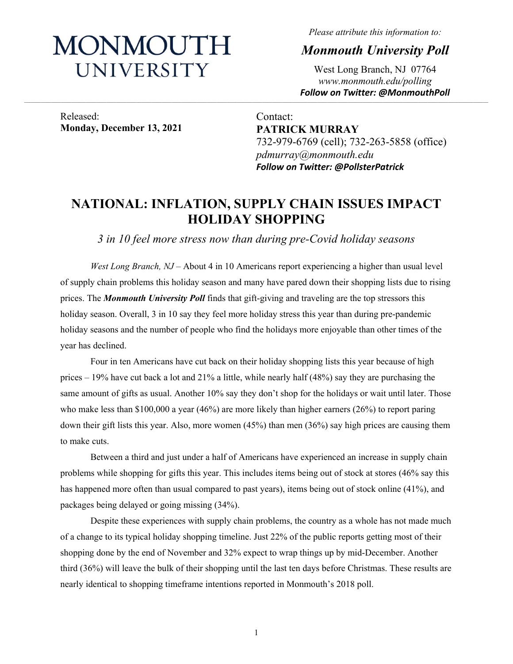# MONMOUTH UNIVERSITY

*Please attribute this information to:* 

*Monmouth University Poll* 

West Long Branch, NJ 07764 *www.monmouth.edu/polling Follow on Twitter: @MonmouthPoll* 

Released: **Monday, December 13, 2021** 

Contact: **PATRICK MURRAY**  732-979-6769 (cell); 732-263-5858 (office) *pdmurray@monmouth.edu Follow on Twitter: @PollsterPatrick* 

# **NATIONAL: INFLATION, SUPPLY CHAIN ISSUES IMPACT HOLIDAY SHOPPING**

,我们也不能在这里的,我们也不能在这里的时候,我们也不能不能不能不能不能不能不能不能不能不能不能不能不能不能不能不能。""我们,我们也不能不能不能不能不能不能不能

*3 in 10 feel more stress now than during pre-Covid holiday seasons* 

*West Long Branch, NJ* – About 4 in 10 Americans report experiencing a higher than usual level of supply chain problems this holiday season and many have pared down their shopping lists due to rising prices. The *Monmouth University Poll* finds that gift-giving and traveling are the top stressors this holiday season. Overall, 3 in 10 say they feel more holiday stress this year than during pre-pandemic holiday seasons and the number of people who find the holidays more enjoyable than other times of the year has declined.

Four in ten Americans have cut back on their holiday shopping lists this year because of high prices – 19% have cut back a lot and 21% a little, while nearly half (48%) say they are purchasing the same amount of gifts as usual. Another 10% say they don't shop for the holidays or wait until later. Those who make less than \$100,000 a year (46%) are more likely than higher earners (26%) to report paring down their gift lists this year. Also, more women (45%) than men (36%) say high prices are causing them to make cuts.

Between a third and just under a half of Americans have experienced an increase in supply chain problems while shopping for gifts this year. This includes items being out of stock at stores (46% say this has happened more often than usual compared to past years), items being out of stock online (41%), and packages being delayed or going missing (34%).

Despite these experiences with supply chain problems, the country as a whole has not made much of a change to its typical holiday shopping timeline. Just 22% of the public reports getting most of their shopping done by the end of November and 32% expect to wrap things up by mid-December. Another third (36%) will leave the bulk of their shopping until the last ten days before Christmas. These results are nearly identical to shopping timeframe intentions reported in Monmouth's 2018 poll.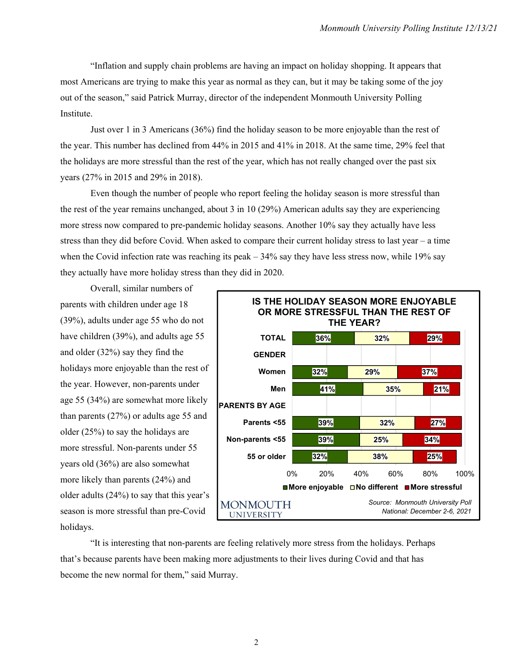"Inflation and supply chain problems are having an impact on holiday shopping. It appears that most Americans are trying to make this year as normal as they can, but it may be taking some of the joy out of the season," said Patrick Murray, director of the independent Monmouth University Polling Institute.

Just over 1 in 3 Americans (36%) find the holiday season to be more enjoyable than the rest of the year. This number has declined from 44% in 2015 and 41% in 2018. At the same time, 29% feel that the holidays are more stressful than the rest of the year, which has not really changed over the past six years (27% in 2015 and 29% in 2018).

Even though the number of people who report feeling the holiday season is more stressful than the rest of the year remains unchanged, about 3 in 10 (29%) American adults say they are experiencing more stress now compared to pre-pandemic holiday seasons. Another 10% say they actually have less stress than they did before Covid. When asked to compare their current holiday stress to last year – a time when the Covid infection rate was reaching its peak – 34% say they have less stress now, while 19% say they actually have more holiday stress than they did in 2020.

Overall, similar numbers of parents with children under age 18 (39%), adults under age 55 who do not have children (39%), and adults age 55 and older (32%) say they find the holidays more enjoyable than the rest of the year. However, non-parents under age 55 (34%) are somewhat more likely than parents (27%) or adults age 55 and older (25%) to say the holidays are more stressful. Non-parents under 55 years old (36%) are also somewhat more likely than parents (24%) and older adults (24%) to say that this year's season is more stressful than pre-Covid holidays.



"It is interesting that non-parents are feeling relatively more stress from the holidays. Perhaps that's because parents have been making more adjustments to their lives during Covid and that has become the new normal for them," said Murray.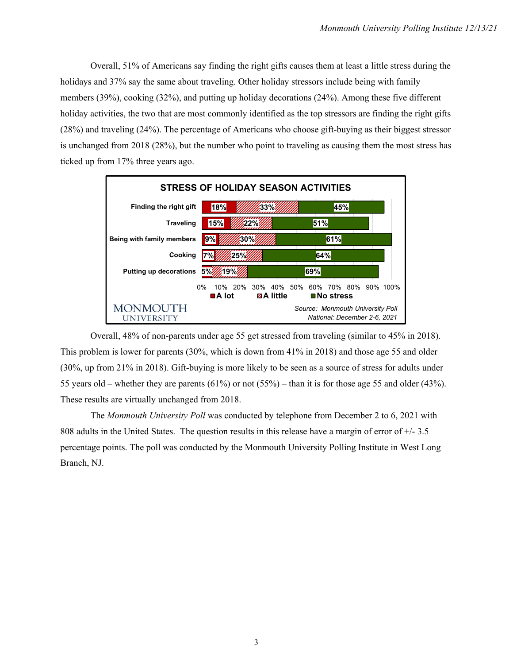Overall, 51% of Americans say finding the right gifts causes them at least a little stress during the holidays and 37% say the same about traveling. Other holiday stressors include being with family members (39%), cooking (32%), and putting up holiday decorations (24%). Among these five different holiday activities, the two that are most commonly identified as the top stressors are finding the right gifts (28%) and traveling (24%). The percentage of Americans who choose gift-buying as their biggest stressor is unchanged from 2018 (28%), but the number who point to traveling as causing them the most stress has ticked up from 17% three years ago.



Overall, 48% of non-parents under age 55 get stressed from traveling (similar to 45% in 2018). This problem is lower for parents (30%, which is down from 41% in 2018) and those age 55 and older (30%, up from 21% in 2018). Gift-buying is more likely to be seen as a source of stress for adults under 55 years old – whether they are parents  $(61\%)$  or not  $(55\%)$  – than it is for those age 55 and older  $(43\%)$ . These results are virtually unchanged from 2018.

The *Monmouth University Poll* was conducted by telephone from December 2 to 6, 2021 with 808 adults in the United States. The question results in this release have a margin of error of +/- 3.5 percentage points. The poll was conducted by the Monmouth University Polling Institute in West Long Branch, NJ.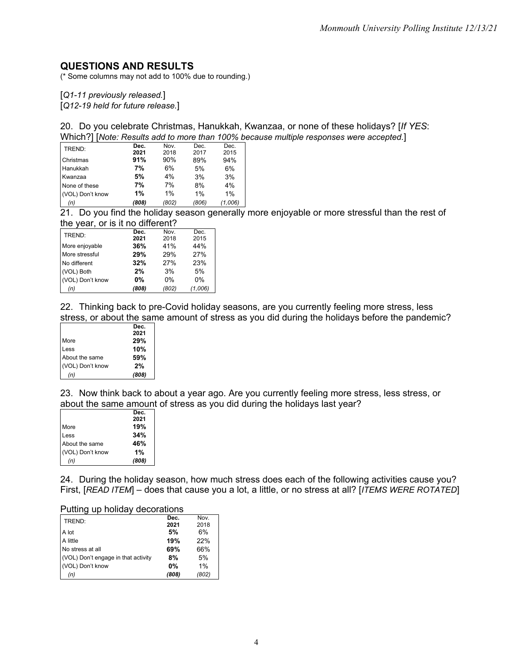# **QUESTIONS AND RESULTS**

(\* Some columns may not add to 100% due to rounding.)

[*Q1-11 previously released.*]

[*Q12-19 held for future release.*]

20. Do you celebrate Christmas, Hanukkah, Kwanzaa, or none of these holidays? [*If YES*: Which?] [*Note: Results add to more than 100% because multiple responses were accepted.*]

| --               |       |       |       |         |
|------------------|-------|-------|-------|---------|
| (n)              | (808) | (802) | (806) | (1,006) |
| (VOL) Don't know | 1%    | 1%    | 1%    | 1%      |
| None of these    | 7%    | 7%    | 8%    | 4%      |
| Kwanzaa          | 5%    | 4%    | 3%    | 3%      |
| Hanukkah         | 7%    | 6%    | 5%    | 6%      |
| Christmas        | 91%   | 90%   | 89%   | 94%     |
| TREND:           | 2021  | 2018  | 2017  | 2015    |
|                  | Dec.  | Nov.  | Dec.  | Dec.    |

21. Do you find the holiday season generally more enjoyable or more stressful than the rest of the year, or is it no different?

| TREND:           | Dec.      | Nov.  | Dec.    |
|------------------|-----------|-------|---------|
|                  | 2021      | 2018  | 2015    |
| More enjoyable   | 36%       | 41%   | 44%     |
| More stressful   | 29%       | 29%   | 27%     |
| No different     | 32%       | 27%   | 23%     |
| (VOL) Both       | 2%        | 3%    | 5%      |
| (VOL) Don't know | <b>0%</b> | $0\%$ | $0\%$   |
| (n)              | (808)     | (802) | (1,006) |

22. Thinking back to pre-Covid holiday seasons, are you currently feeling more stress, less stress, or about the same amount of stress as you did during the holidays before the pandemic?

|                  | Dec.  |
|------------------|-------|
|                  | 2021  |
| More             | 29%   |
| Less             | 10%   |
| About the same   | 59%   |
| (VOL) Don't know | 2%    |
| (n)              | (808) |

23. Now think back to about a year ago. Are you currently feeling more stress, less stress, or about the same amount of stress as you did during the holidays last year?

| 2021<br>19% |
|-------------|
|             |
|             |
| 34%         |
| 46%         |
| 1%          |
| (808)       |
|             |

24. During the holiday season, how much stress does each of the following activities cause you? First, [*READ ITEM*] – does that cause you a lot, a little, or no stress at all? [*ITEMS WERE ROTATED*]

#### Putting up holiday decorations

| TREND:                              | Dec.      | Nov.  |
|-------------------------------------|-----------|-------|
|                                     | 2021      | 2018  |
| A lot                               | 5%        | 6%    |
| A little                            | 19%       | 22%   |
| No stress at all                    | 69%       | 66%   |
| (VOL) Don't engage in that activity | 8%        | 5%    |
| (VOL) Don't know                    | <b>0%</b> | 1%    |
| (n)                                 | (808)     | (802) |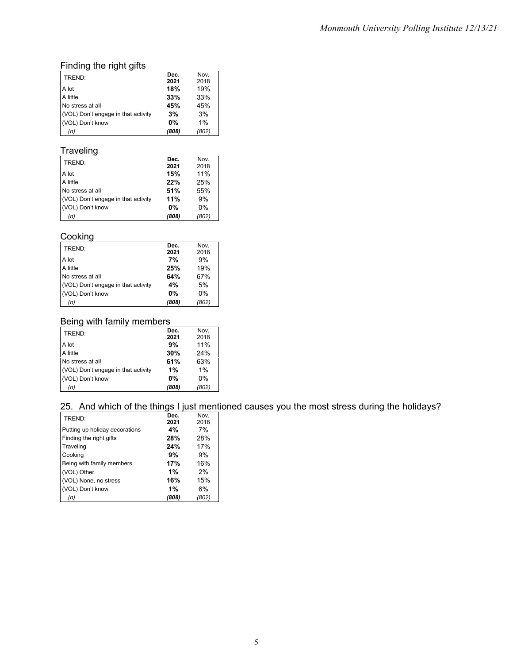## Finding the right gifts

| TREND:                              | Dec.      | Nov.  |
|-------------------------------------|-----------|-------|
|                                     | 2021      | 2018  |
| A lot                               | 18%       | 19%   |
| A little                            | 33%       | 33%   |
| No stress at all                    | 45%       | 45%   |
| (VOL) Don't engage in that activity | 3%        | 3%    |
| (VOL) Don't know                    | <b>0%</b> | 1%    |
| (n)                                 | (808)     | (802) |

# **Traveling**

| TREND:                              | Dec.  | Nov.  |
|-------------------------------------|-------|-------|
|                                     | 2021  | 2018  |
| A lot                               | 15%   | 11%   |
| A little                            | 22%   | 25%   |
| No stress at all                    | 51%   | 55%   |
| (VOL) Don't engage in that activity | 11%   | 9%    |
| (VOL) Don't know                    | $0\%$ | $0\%$ |
| (n)                                 | (808) | (802) |

## Cooking

| TREND:                              | Dec.      | Nov.  |
|-------------------------------------|-----------|-------|
|                                     | 2021      | 2018  |
| A lot                               | 7%        | 9%    |
| A little                            | 25%       | 19%   |
| No stress at all                    | 64%       | 67%   |
| (VOL) Don't engage in that activity | 4%        | 5%    |
| (VOL) Don't know                    | <b>0%</b> | $0\%$ |
| (n)                                 | (808)     | (802) |

#### Being with family members

| TREND:                              | Dec.      | Nov.  |
|-------------------------------------|-----------|-------|
|                                     | 2021      | 2018  |
| A lot                               | 9%        | 11%   |
| A little                            | 30%       | 24%   |
| No stress at all                    | 61%       | 63%   |
| (VOL) Don't engage in that activity | 1%        | 1%    |
| (VOL) Don't know                    | <b>0%</b> | $0\%$ |
| (n)                                 | (808)     | (802) |

# 25. And which of the things I just mentioned causes you the most stress during the holidays?

| TREND:                         | Dec.  | Nov.  |
|--------------------------------|-------|-------|
|                                | 2021  | 2018  |
| Putting up holiday decorations | 4%    | 7%    |
| Finding the right gifts        | 28%   | 28%   |
| Traveling                      | 24%   | 17%   |
| Cooking                        | 9%    | 9%    |
| Being with family members      | 17%   | 16%   |
| (VOL) Other                    | 1%    | 2%    |
| (VOL) None, no stress          | 16%   | 15%   |
| (VOL) Don't know               | 1%    | 6%    |
| (n)                            | (808) | (802) |
|                                |       |       |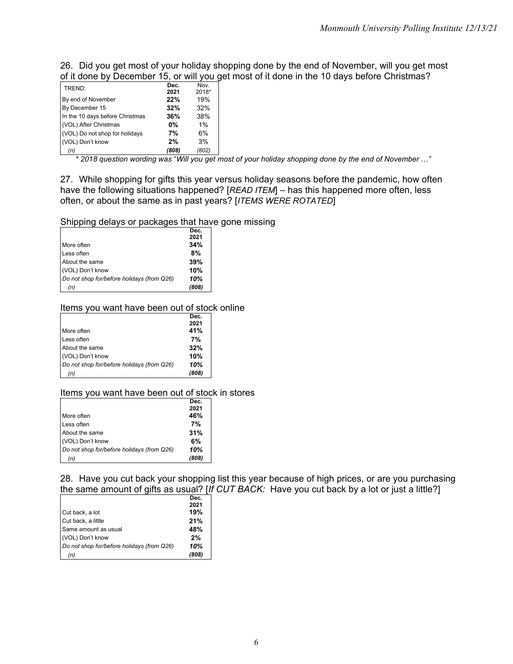26. Did you get most of your holiday shopping done by the end of November, will you get most of it done by December 15, or will you get most of it done in the 10 days before Christmas?

| TREND:                          | Dec.      | Nov.  |
|---------------------------------|-----------|-------|
|                                 | 2021      | 2018* |
| By end of November              | 22%       | 19%   |
| By December 15                  | 32%       | 32%   |
| In the 10 days before Christmas | 36%       | 38%   |
| (VOL) After Christmas           | <b>0%</b> | 1%    |
| (VOL) Do not shop for holidays  | 7%        | 6%    |
| (VOL) Don't know                | 2%        | 3%    |
| (n)                             | (808)     | (802) |

*\* 2018 question wording was* "*Will you get most of your holiday shopping done by the end of November …"*

27. While shopping for gifts this year versus holiday seasons before the pandemic, how often have the following situations happened? [*READ ITEM*] – has this happened more often, less often, or about the same as in past years? [*ITEMS WERE ROTATED*]

Shipping delays or packages that have gone missing

|                                            | Dec.  |
|--------------------------------------------|-------|
|                                            | 2021  |
| More often                                 | 34%   |
| Less often                                 | 8%    |
| About the same                             | 39%   |
| (VOL) Don't know                           | 10%   |
| Do not shop for/before holidays (from Q26) | 10%   |
| (n)                                        | (808) |

#### Items you want have been out of stock online

|                                            | Dec.  |
|--------------------------------------------|-------|
|                                            | 2021  |
| More often                                 | 41%   |
| Less often                                 | 7%    |
| About the same                             | 32%   |
| (VOL) Don't know                           | 10%   |
| Do not shop for/before holidays (from Q26) | 10%   |
| (n)                                        | (808) |
|                                            |       |

#### Items you want have been out of stock in stores

|                                            | Dec.  |
|--------------------------------------------|-------|
|                                            | 2021  |
| More often                                 | 46%   |
| Less often                                 | 7%    |
| About the same                             | 31%   |
| (VOL) Don't know                           | 6%    |
| Do not shop for/before holidays (from Q26) | 10%   |
| (n)                                        | (808) |

28. Have you cut back your shopping list this year because of high prices, or are you purchasing the same amount of gifts as usual? [*If CUT BACK:* Have you cut back by a lot or just a little?]

|                                            | Dec.  |
|--------------------------------------------|-------|
|                                            | 2021  |
| Cut back, a lot                            | 19%   |
| Cut back, a little                         | 21%   |
| Same amount as usual                       | 48%   |
| (VOL) Don't know                           | 2%    |
| Do not shop for/before holidays (from Q26) | 10%   |
| (n)                                        | (808) |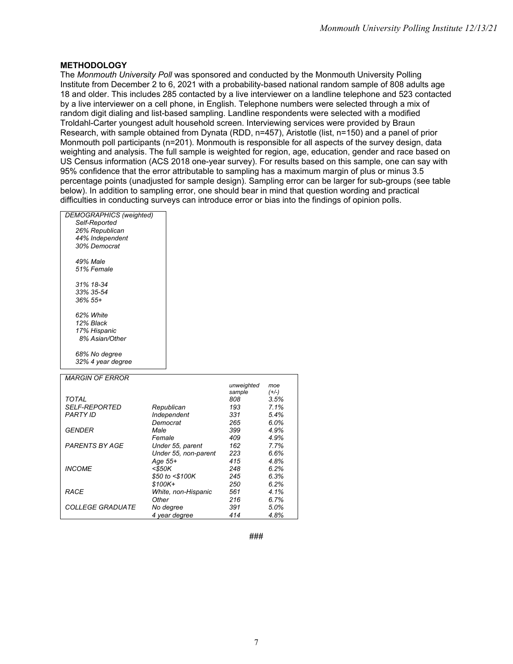#### **METHODOLOGY**

The *Monmouth University Poll* was sponsored and conducted by the Monmouth University Polling Institute from December 2 to 6, 2021 with a probability-based national random sample of 808 adults age 18 and older. This includes 285 contacted by a live interviewer on a landline telephone and 523 contacted by a live interviewer on a cell phone, in English. Telephone numbers were selected through a mix of random digit dialing and list-based sampling. Landline respondents were selected with a modified Troldahl-Carter youngest adult household screen. Interviewing services were provided by Braun Research, with sample obtained from Dynata (RDD, n=457), Aristotle (list, n=150) and a panel of prior Monmouth poll participants (n=201). Monmouth is responsible for all aspects of the survey design, data weighting and analysis. The full sample is weighted for region, age, education, gender and race based on US Census information (ACS 2018 one-year survey). For results based on this sample, one can say with 95% confidence that the error attributable to sampling has a maximum margin of plus or minus 3.5 percentage points (unadjusted for sample design). Sampling error can be larger for sub-groups (see table below). In addition to sampling error, one should bear in mind that question wording and practical difficulties in conducting surveys can introduce error or bias into the findings of opinion polls.

| DEMOGRAPHICS (weighted) |
|-------------------------|
| Self-Reported           |
| 26% Republican          |
| 44% Independent         |
| 30% Democrat            |
| 49% Male                |
| 51% Female              |
|                         |
| 31% 18-34               |
| 33% 35-54               |
| $36\%55+$               |
| 62% White               |
| 12% Black               |
| 17% Hispanic            |
| 8% Asian/Other          |
| 68% No degree           |
| 32% 4 year degree       |
|                         |
| <i>MARGIN OF ERROR</i>  |
|                         |

 $\overline{\Gamma}$ 

|                             |                      | unweighted<br>sample | moe<br>$(+/-)$ |
|-----------------------------|----------------------|----------------------|----------------|
| <b>TOTAL</b>                |                      | 808                  | 3.5%           |
| <i><b>SELF-REPORTED</b></i> | Republican           | 193                  | 7.1%           |
| <b>PARTY ID</b>             | Independent          | 331                  | 5.4%           |
|                             | Democrat             | 265                  | 6.0%           |
| <b>GENDER</b>               | Male                 | 399                  | 4.9%           |
|                             | Female               | 409                  | 4.9%           |
| <b>PARENTS BY AGE</b>       | Under 55, parent     | 162                  | 7.7%           |
|                             | Under 55, non-parent | 223                  | 6.6%           |
|                             | Age 55+              | 415                  | 4.8%           |
| <b>INCOME</b>               | $<$ \$50K            | 248                  | 6.2%           |
|                             | \$50 to <\$100K      | 245                  | 6.3%           |
|                             | $$100K+$             | 250                  | 6.2%           |
| RACE                        | White, non-Hispanic  | 561                  | 4.1%           |
|                             | Other                | 216                  | 6.7%           |
| <i>COLLEGE GRADUATE</i>     | No degree            | 391                  | 5.0%           |
|                             | 4 year degree        | 414                  | 4.8%           |

**###**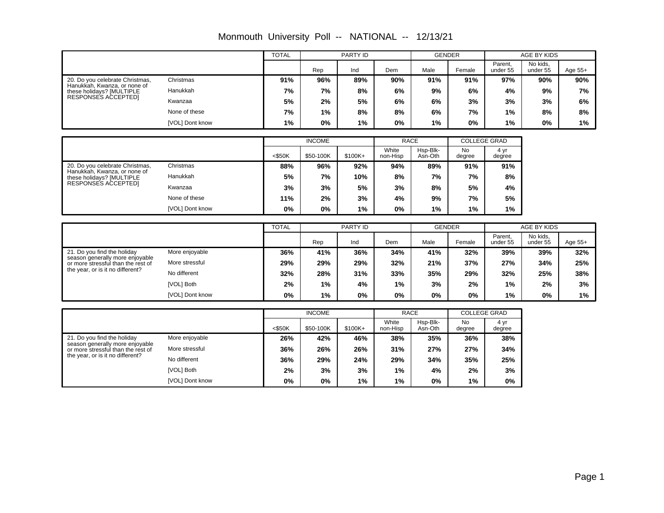|                                                                                                                                          |                 | <b>TOTAL</b> |               | PARTY ID |                                                                                                                                                                                                                                                                                                                                                                                                  | <b>GENDER</b> |                     |                     | AGE BY KIDS          |         |  |
|------------------------------------------------------------------------------------------------------------------------------------------|-----------------|--------------|---------------|----------|--------------------------------------------------------------------------------------------------------------------------------------------------------------------------------------------------------------------------------------------------------------------------------------------------------------------------------------------------------------------------------------------------|---------------|---------------------|---------------------|----------------------|---------|--|
|                                                                                                                                          |                 |              | Rep           | Ind      | Dem                                                                                                                                                                                                                                                                                                                                                                                              | Male          | Female              | Parent,<br>under 55 | No kids.<br>under 55 | Age 55+ |  |
| 20. Do you celebrate Christmas,<br>Hanukkah, Kwanza, or none of                                                                          | Christmas       | 91%          | 96%           | 89%      | 90%                                                                                                                                                                                                                                                                                                                                                                                              | 91%           | 91%                 | 97%                 | 90%                  | 90%     |  |
| these holidays? [MULTIPLE                                                                                                                | Hanukkah        | 7%           | 7%            | 8%       | 6%                                                                                                                                                                                                                                                                                                                                                                                               | 9%            | 6%                  | 4%                  | 9%                   | 7%      |  |
| RESPONSES ACCEPTED]                                                                                                                      | Kwanzaa         | 5%           | 2%            | 5%       | 6%                                                                                                                                                                                                                                                                                                                                                                                               | 6%            | 3%                  | 3%                  | 3%                   | 6%      |  |
|                                                                                                                                          | None of these   | 7%           | 1%            | 8%       | 8%<br>6%<br>7%<br>1%<br>0%<br>1%<br>0%<br>1%<br><b>RACE</b><br><b>COLLEGE GRAD</b><br>White<br>Hsp-Blk-<br><b>No</b><br>4 yr<br>non-Hisp<br>Asn-Oth<br>degree<br>degree<br>89%<br>91%<br>94%<br>91%<br>8%<br>8%<br>7%<br>7%<br>3%<br>8%<br>5%<br>4%<br>5%<br>4%<br>9%<br>7%<br>0%<br>1%<br>1%<br>1%<br><b>GENDER</b><br>Parent,<br>Male<br>Dem<br>Female<br>under 55<br>41%<br>34%<br>32%<br>39% | 8%            | 8%                  |                     |                      |         |  |
|                                                                                                                                          | [VOL] Dont know | 1%           | 0%            | 1%       |                                                                                                                                                                                                                                                                                                                                                                                                  |               |                     |                     | $0\%$                | 1%      |  |
|                                                                                                                                          |                 |              | <b>INCOME</b> |          |                                                                                                                                                                                                                                                                                                                                                                                                  |               |                     |                     |                      |         |  |
|                                                                                                                                          |                 |              |               |          |                                                                                                                                                                                                                                                                                                                                                                                                  |               |                     |                     |                      |         |  |
|                                                                                                                                          |                 | $<$ \$50K    | \$50-100K     | \$100K+  |                                                                                                                                                                                                                                                                                                                                                                                                  |               |                     |                     |                      |         |  |
| 20. Do you celebrate Christmas,<br>Hanukkah, Kwanza, or none of                                                                          | Christmas       | 88%          | 96%           | 92%      |                                                                                                                                                                                                                                                                                                                                                                                                  |               |                     |                     |                      |         |  |
| these holidays? [MULTIPLE<br>RESPONSES ACCEPTED]                                                                                         | Hanukkah        | 5%           | 7%            | 10%      |                                                                                                                                                                                                                                                                                                                                                                                                  |               |                     |                     |                      |         |  |
|                                                                                                                                          | Kwanzaa         | 3%           | 3%            | 5%       |                                                                                                                                                                                                                                                                                                                                                                                                  |               |                     |                     |                      |         |  |
|                                                                                                                                          | None of these   | 11%          | 2%            | 3%       |                                                                                                                                                                                                                                                                                                                                                                                                  |               |                     |                     |                      |         |  |
|                                                                                                                                          | [VOL] Dont know | $0\%$        | $0\%$         | 1%       |                                                                                                                                                                                                                                                                                                                                                                                                  |               |                     |                     |                      |         |  |
|                                                                                                                                          |                 | <b>TOTAL</b> | PARTY ID      |          |                                                                                                                                                                                                                                                                                                                                                                                                  |               |                     |                     | AGE BY KIDS          |         |  |
|                                                                                                                                          |                 |              | Rep           | Ind      |                                                                                                                                                                                                                                                                                                                                                                                                  |               |                     |                     | No kids,<br>under 55 | Age 55+ |  |
| 21. Do you find the holiday                                                                                                              | More enjoyable  | 36%          | 41%           | 36%      |                                                                                                                                                                                                                                                                                                                                                                                                  |               |                     |                     | 39%                  | 32%     |  |
| season generally more enjoyable<br>or more stressful than the rest of                                                                    | More stressful  | 29%          | 29%           | 29%      | 32%                                                                                                                                                                                                                                                                                                                                                                                              | 21%           | 37%                 | 27%                 | 34%                  | 25%     |  |
| the year, or is it no different?                                                                                                         | No different    | 32%          | 28%           | 31%      | 33%                                                                                                                                                                                                                                                                                                                                                                                              | 35%           | 29%                 | 32%                 | 25%                  | 38%     |  |
|                                                                                                                                          | [VOL] Both      | 2%           | 1%            | 4%       | 1%                                                                                                                                                                                                                                                                                                                                                                                               | 3%            | 2%                  | 1%                  | 2%                   | 3%      |  |
|                                                                                                                                          | [VOL] Dont know | $0\%$        | 1%            | 0%       | 0%                                                                                                                                                                                                                                                                                                                                                                                               | 0%            | 0%                  | 1%                  | 0%                   | 1%      |  |
|                                                                                                                                          |                 |              | <b>INCOME</b> |          |                                                                                                                                                                                                                                                                                                                                                                                                  | <b>RACE</b>   | <b>COLLEGE GRAD</b> |                     |                      |         |  |
|                                                                                                                                          |                 |              |               |          | White                                                                                                                                                                                                                                                                                                                                                                                            | Hsp-Blk-      | No                  | 4 yr                |                      |         |  |
|                                                                                                                                          |                 | $<$ \$50K    | \$50-100K     | \$100K+  | non-Hisp                                                                                                                                                                                                                                                                                                                                                                                         | Asn-Oth       | degree              | degree              |                      |         |  |
| 21. Do you find the holiday<br>season generally more enjoyable<br>or more stressful than the rest of<br>the year, or is it no different? | More enjoyable  | 26%          | 42%           | 46%      | 38%                                                                                                                                                                                                                                                                                                                                                                                              | 35%           | 36%                 | 38%                 |                      |         |  |
|                                                                                                                                          | More stressful  | 36%          | 26%           | 26%      | 31%                                                                                                                                                                                                                                                                                                                                                                                              | 27%           | 27%                 | 34%                 |                      |         |  |
|                                                                                                                                          | No different    | 36%          | 29%           | 24%      | 29%                                                                                                                                                                                                                                                                                                                                                                                              | 34%           | 35%                 | 25%                 |                      |         |  |

**0% 0% 1% 1% 0% 1% 0% 2% 3% 3% 1% 4% 2% 3% 36% 29% 24% 29% 34% 35% 25%**

[VOL] Both [VOL] Dont know

г

Monmouth University Poll -- NATIONAL -- 12/13/21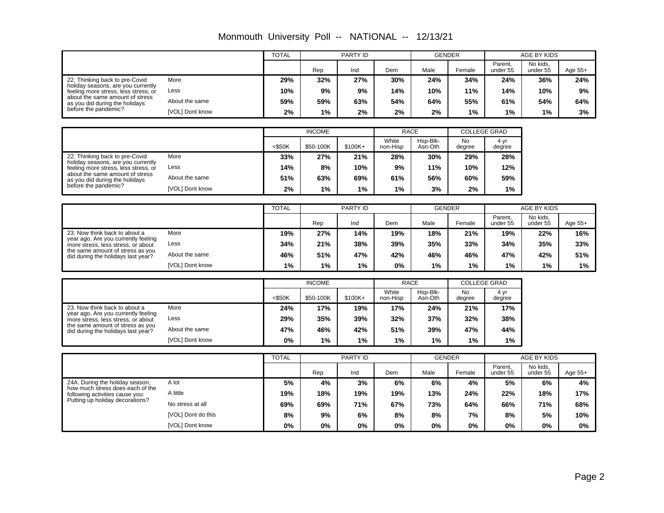|                                                                                                                                                                                                           |                 |     | <b>TOTAL</b><br>PARTY ID |     |     | <b>GENDER</b> |        | AGE BY KIDS         |                      |           |
|-----------------------------------------------------------------------------------------------------------------------------------------------------------------------------------------------------------|-----------------|-----|--------------------------|-----|-----|---------------|--------|---------------------|----------------------|-----------|
|                                                                                                                                                                                                           |                 |     | Rep                      | Ind | Dem | Male          | Female | Parent,<br>under 55 | No kids.<br>under 55 | Age $55+$ |
| 22. Thinking back to pre-Covid<br>holiday seasons, are you currently<br>feeling more stress, less stress, or<br>about the same amount of stress<br>as you did during the holidays<br>before the pandemic? | More            | 29% | 32%                      | 27% | 30% | 24%           | 34%    | 24%                 | 36%                  | 24%       |
|                                                                                                                                                                                                           | Less            | 10% | 9%                       | 9%  | 14% | 10%           | 11%    | 14%                 | 10%                  | 9%        |
|                                                                                                                                                                                                           | About the same  | 59% | 59%                      | 63% | 54% | 64%           | 55%    | 61%                 | 54%                  | 64%       |
|                                                                                                                                                                                                           | [VOL] Dont know | 2%  | 1%                       | 2%  | 2%  | 2%            | 1%     | 1%                  | 1%                   | 3%        |

# Monmouth University Poll -- NATIONAL -- 12/13/21

|                                                                                                                                                                                                           |                 |           | <b>INCOME</b> |          | <b>RACE</b>       |                     | <b>COLLEGE GRAD</b> |                |
|-----------------------------------------------------------------------------------------------------------------------------------------------------------------------------------------------------------|-----------------|-----------|---------------|----------|-------------------|---------------------|---------------------|----------------|
|                                                                                                                                                                                                           |                 | $<$ \$50K | \$50-100K     | $$100K+$ | White<br>non-Hisp | Hsp-Blk-<br>Asn-Oth | No<br>degree        | 4 vr<br>degree |
| 22. Thinking back to pre-Covid<br>holiday seasons, are you currently<br>feeling more stress, less stress, or<br>about the same amount of stress<br>as you did during the holidays<br>before the pandemic? | More            | 33%       | 27%           | 21%      | 28%               | 30%                 | 29%                 | 28%            |
|                                                                                                                                                                                                           | Less            | 14%       | 8%            | 10%      | 9%                | 11%                 | 10%                 | 12%            |
|                                                                                                                                                                                                           | About the same  | 51%       | 63%           | 69%      | 61%               | 56%                 | 60%                 | 59%            |
|                                                                                                                                                                                                           | [VOL] Dont know | 2%        | 1%            | $1\%$    | 1%                | 3%                  | 2%                  | 1%             |

|                                                                                                                                                                                      |                 | <b>TOTAL</b> |     | PARTY ID |     | <b>GENDER</b> |        |                     | AGE BY KIDS          |           |
|--------------------------------------------------------------------------------------------------------------------------------------------------------------------------------------|-----------------|--------------|-----|----------|-----|---------------|--------|---------------------|----------------------|-----------|
|                                                                                                                                                                                      |                 |              | Rep | Ind      | Dem | Male          | Female | Parent,<br>under 55 | No kids,<br>under 55 | Age $55+$ |
| 23. Now think back to about a<br>year ago. Are you currently feeling<br>more stress, less stress, or about<br>the same amount of stress as you<br>did during the holidays last year? | More            | 19%          | 27% | 14%      | 19% | 18%           | 21%    | 19%                 | 22%                  | 16%       |
|                                                                                                                                                                                      | Less            | 34%          | 21% | 38%      | 39% | 35%           | 33%    | 34%                 | 35%                  | 33%       |
|                                                                                                                                                                                      | About the same  | 46%          | 51% | 47%      | 42% | 46%           | 46%    | 47%                 | 42%                  | 51%       |
|                                                                                                                                                                                      | [VOL] Dont know | 1%           | 1%  | 1%       | 0%  | 1%            | 1%     | 1%                  | 1%                   | 1%        |

|                                                                                                                                                                                      |                 |           | <b>INCOME</b> |          |                   | <b>RACE</b>         | <b>COLLEGE GRAD</b> |                |
|--------------------------------------------------------------------------------------------------------------------------------------------------------------------------------------|-----------------|-----------|---------------|----------|-------------------|---------------------|---------------------|----------------|
|                                                                                                                                                                                      |                 | $<$ \$50K | \$50-100K     | $$100K+$ | White<br>non-Hisp | Hsp-Blk-<br>Asn-Oth | No<br>degree        | 4 yr<br>degree |
| 23. Now think back to about a<br>year ago. Are you currently feeling<br>more stress, less stress, or about<br>the same amount of stress as you<br>did during the holidays last year? | More            | 24%       | 17%           | 19%      | 17%               | 24%                 | 21%                 | 17%            |
|                                                                                                                                                                                      | Less            | 29%       | 35%           | 39%      | 32%               | 37%                 | 32%                 | 38%            |
|                                                                                                                                                                                      | About the same  | 47%       | 46%           | 42%      | 51%               | 39%                 | 47%                 | 44%            |
|                                                                                                                                                                                      | [VOL] Dont know | 0%        | 1%            | $1\%$    | $1\%$             | $1\%$               | $1\%$               | 1%             |

|                                                                                                                                           |                    | <b>TOTAL</b><br>PARTY ID |     |       | <b>GENDER</b> |      | AGE BY KIDS |                     |                      |         |
|-------------------------------------------------------------------------------------------------------------------------------------------|--------------------|--------------------------|-----|-------|---------------|------|-------------|---------------------|----------------------|---------|
|                                                                                                                                           |                    |                          | Rep | Ind   | Dem           | Male | Female      | Parent.<br>under 55 | No kids,<br>under 55 | Age 55+ |
| 24A. During the holiday season,<br>how much stress does each of the<br>following activities cause you:<br>Putting up holiday decorations? | A lot              | 5%                       | 4%  | 3%    | 6%            | 6%   | 4%          | 5%                  | 6%                   | 4%      |
|                                                                                                                                           | A little           | 19%                      | 18% | 19%   | 19%           | 13%  | 24%         | 22%                 | 18%                  | 17%     |
|                                                                                                                                           | No stress at all   | 69%                      | 69% | 71%   | 67%           | 73%  | 64%         | 66%                 | 71%                  | 68%     |
|                                                                                                                                           | [VOL] Dont do this | 8%                       | 9%  | 6%    | 8%            | 8%   | 7%          | 8%                  | 5%                   | 10%     |
|                                                                                                                                           | [VOL] Dont know    | 0%                       | 0%  | $0\%$ | 0%            | 0%   | 0%          | 0%                  | 0%                   | 0%      |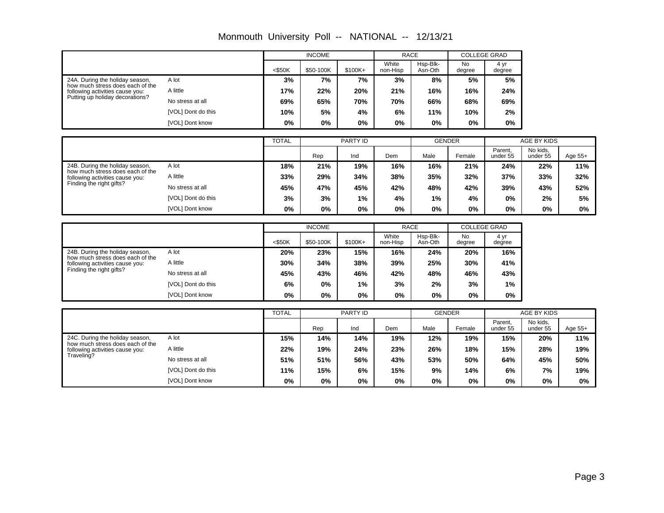|                                                                     |                    |              | <b>INCOME</b> |          |                   | <b>RACE</b>             |                     | <b>COLLEGE GRAD</b>         |             |         |
|---------------------------------------------------------------------|--------------------|--------------|---------------|----------|-------------------|-------------------------|---------------------|-----------------------------|-------------|---------|
|                                                                     |                    | $<$ \$50K    | \$50-100K     | \$100K+  | White<br>non-Hisp | Hsp-Blk-<br>Asn-Oth     | <b>No</b><br>degree | 4 yr<br>degree              |             |         |
| 24A. During the holiday season,<br>how much stress does each of the | A lot              | 3%           | 7%            | 7%       | 3%                | 8%                      | 5%                  | 5%                          |             |         |
| following activities cause you:                                     | A little           | 17%          | 22%           | 20%      | 21%               | 16%                     | 16%                 | 24%                         |             |         |
| Putting up holiday decorations?                                     | No stress at all   | 69%          | 65%           | 70%      | 70%               | 66%                     | 68%                 | 69%                         |             |         |
|                                                                     | [VOL] Dont do this | 10%          | 5%            | 4%       | 6%                | 11%                     | 10%                 | 2%                          |             |         |
|                                                                     | [VOL] Dont know    | 0%           | 0%            | 0%       | 0%                | 0%                      | 0%                  | $0\%$                       |             |         |
|                                                                     |                    | <b>TOTAL</b> |               | PARTY ID |                   |                         | <b>GENDER</b>       |                             | AGE BY KIDS |         |
|                                                                     |                    |              |               |          |                   |                         |                     | Parent,                     | No kids,    |         |
|                                                                     |                    |              | Rep           | Ind      | Dem               | Male                    | Female              | under 55                    | under 55    | Age 55+ |
| 24B. During the holiday season,<br>how much stress does each of the | A lot              | 18%          | 21%           | 19%      | 16%               | 16%                     | 21%                 | 24%                         | 22%         | 11%     |
| following activities cause you:                                     | A little           | 33%          | 29%           | 34%      | 38%               | 35%                     | 32%                 | 37%                         | 33%         | 32%     |
| Finding the right gifts?                                            | No stress at all   | 45%          | 47%           | 45%      | 42%               | 48%                     | 42%                 | 39%                         | 43%         | 52%     |
|                                                                     | [VOL] Dont do this | 3%           | 3%            | 1%       | 4%                | 1%                      | 4%                  | 0%                          | 2%          | 5%      |
|                                                                     | [VOL] Dont know    | 0%           | 0%            | 0%       | 0%                | 0%                      | 0%                  | 0%                          | 0%          | $0\%$   |
|                                                                     |                    |              |               |          |                   |                         |                     |                             |             |         |
|                                                                     |                    |              | <b>INCOME</b> |          | White             | <b>RACE</b><br>Hsp-Blk- | N <sub>o</sub>      | <b>COLLEGE GRAD</b><br>4 yr |             |         |
|                                                                     |                    | $<$ \$50K    | \$50-100K     | \$100K+  | non-Hisp          | Asn-Oth                 | degree              | degree                      |             |         |
| 24B. During the holiday season,<br>how much stress does each of the | A lot              | 20%          | 23%           | 15%      | 16%               | 24%                     | 20%                 | 16%                         |             |         |
| following activities cause you:                                     | A little           | 30%          | 34%           | 38%      | 39%               | 25%                     | 30%                 | 41%                         |             |         |
| Finding the right gifts?                                            | No stress at all   | 45%          | 43%           | 46%      | 42%               | 48%                     | 46%                 | 43%                         |             |         |
|                                                                     | [VOL] Dont do this | 6%           | 0%            | 1%       | 3%                | 2%                      | 3%                  | 1%                          |             |         |
|                                                                     | [VOL] Dont know    | 0%           | 0%            | 0%       | 0%                | 0%                      | 0%                  | 0%                          |             |         |
|                                                                     |                    | <b>TOTAL</b> |               | PARTY ID |                   |                         | <b>GENDER</b>       |                             | AGE BY KIDS |         |
|                                                                     |                    |              |               |          |                   |                         |                     | Parent,                     | No kids,    |         |
|                                                                     |                    |              | Rep           | Ind      | Dem               | Male                    | Female              | under 55                    | under 55    | Age 55+ |
| 24C. During the holiday season.<br>how much stress does each of the | A lot              | 15%          | 14%           | 14%      | 19%               | 12%                     | 19%                 | 15%                         | 20%         | 11%     |
| following activities cause you:                                     | A little           | 22%          | 19%           | 24%      | 23%               | 26%                     | 18%                 | 15%                         | 28%         | 19%     |
| Traveling?                                                          | No stress at all   | 51%          | 51%           | 56%      | 43%               | 53%                     | 50%                 | 64%                         | 45%         | 50%     |
|                                                                     | [VOL] Dont do this | 11%          | 15%           | 6%       | 15%               | 9%                      | 14%                 | 6%                          | 7%          | 19%     |
|                                                                     | [VOL] Dont know    | 0%           | 0%            | 0%       | 0%                | $0\%$                   | 0%                  | 0%                          | 0%          | 0%      |

Monmouth University Poll -- NATIONAL -- 12/13/21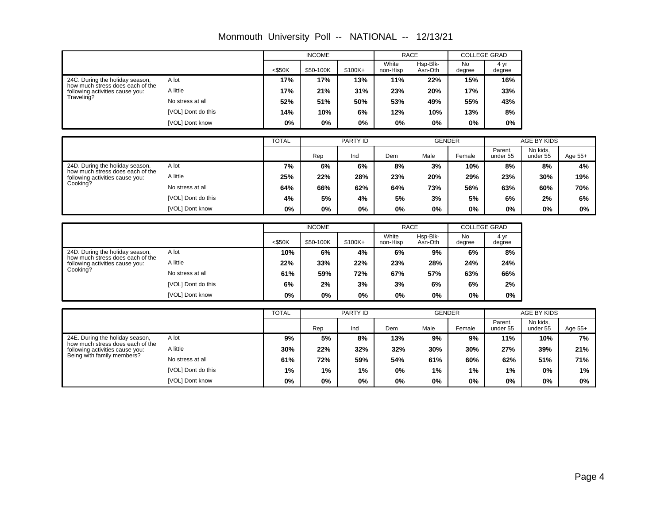|                                                                     |                    |              | <b>INCOME</b> |                 |                   | <b>RACE</b>         |               | <b>COLLEGE GRAD</b> |                         |         |
|---------------------------------------------------------------------|--------------------|--------------|---------------|-----------------|-------------------|---------------------|---------------|---------------------|-------------------------|---------|
|                                                                     |                    | $<$ \$50K    | \$50-100K     | \$100K+         | White<br>non-Hisp | Hsp-Blk-<br>Asn-Oth | No<br>degree  | 4 yr<br>degree      |                         |         |
| 24C. During the holiday season,<br>how much stress does each of the | A lot              | 17%          | 17%           | 13%             | 11%               | 22%                 | 15%           | 16%                 |                         |         |
| following activities cause you:                                     | A little           | 17%          | 21%           | 31%             | 23%               | 20%                 | 17%           | 33%                 |                         |         |
| Traveling?                                                          | No stress at all   | 52%          | 51%           | 50%             | 53%               | 49%                 | 55%           | 43%                 |                         |         |
|                                                                     | [VOL] Dont do this | 14%          | 10%           | 6%              | 12%               | 10%                 | 13%           | 8%                  |                         |         |
|                                                                     | [VOL] Dont know    | 0%           | 0%            | 0%              | 0%                | 0%                  | 0%            | 0%                  |                         |         |
|                                                                     |                    | <b>TOTAL</b> |               | <b>PARTY ID</b> |                   |                     |               |                     |                         |         |
|                                                                     |                    |              |               |                 |                   |                     | <b>GENDER</b> | Parent,             | AGE BY KIDS<br>No kids, |         |
|                                                                     |                    |              | Rep           | Ind             | Dem               | Male                | Female        | under 55            | under 55                | Age 55+ |
| 24D. During the holiday season,<br>how much stress does each of the | A lot              | 7%           | 6%            | 6%              | 8%                | 3%                  | 10%           | 8%                  | 8%                      | 4%      |
| following activities cause you:<br>Cooking?                         | A little           | 25%          | 22%           | 28%             | 23%               | 20%                 | 29%           | 23%                 | 30%                     | 19%     |
|                                                                     | No stress at all   | 64%          | 66%           | 62%             | 64%               | 73%                 | 56%           | 63%                 | 60%                     | 70%     |
|                                                                     | [VOL] Dont do this | 4%           | 5%            | 4%              | 5%                | 3%                  | 5%            | 6%                  | 2%                      | 6%      |
|                                                                     | [VOL] Dont know    | 0%           | 0%            | 0%              | 0%                | 0%                  | 0%            | 0%                  | 0%                      | $0\%$   |
|                                                                     |                    |              | <b>INCOME</b> |                 |                   | <b>RACE</b>         |               | <b>COLLEGE GRAD</b> |                         |         |
|                                                                     |                    |              |               |                 | White             | Hsp-Blk-            | No            | 4 yr                |                         |         |
|                                                                     |                    | $<$ \$50K    | \$50-100K     | \$100K+         | non-Hisp          | Asn-Oth             | degree        | degree              |                         |         |
| 24D. During the holiday season.<br>how much stress does each of the | A lot              | 10%          | 6%            | 4%              | 6%                | 9%                  | 6%            | 8%                  |                         |         |
| following activities cause you:                                     | A little           | 22%          | 33%           | 22%             | 23%               | 28%                 | 24%           | 24%                 |                         |         |
| Cooking?                                                            | No stress at all   | 61%          | 59%           | 72%             | 67%               | 57%                 | 63%           | 66%                 |                         |         |
|                                                                     | [VOL] Dont do this | 6%           | 2%            | 3%              | 3%                | 6%                  | 6%            | 2%                  |                         |         |
|                                                                     | [VOL] Dont know    | 0%           | 0%            | 0%              | 0%                | 0%                  | 0%            | 0%                  |                         |         |
|                                                                     |                    | <b>TOTAL</b> |               | PARTY ID        |                   |                     | <b>GENDER</b> |                     | AGE BY KIDS             |         |
|                                                                     |                    |              |               |                 |                   |                     |               | Parent.             | No kids.                |         |
|                                                                     |                    |              | Rep           | Ind             | Dem               | Male                | Female        | under 55            | under 55                | Age 55+ |
| 24E. During the holiday season,<br>how much stress does each of the | A lot              | 9%           | 5%            | 8%              | 13%               | 9%                  | 9%            | 11%                 | 10%                     | 7%      |
| following activities cause you:                                     | A little           | 30%          | 22%           | 32%             | 32%               | 30%                 | 30%           | 27%                 | 39%                     | 21%     |
| Being with family members?                                          | No stress at all   | 61%          | 72%           | 59%             | 54%               | 61%                 | 60%           | 62%                 | 51%                     | 71%     |
|                                                                     | [VOL] Dont do this | 1%           | 1%            | 1%              | 0%                | 1%                  | 1%            | 1%                  | 0%                      | 1%      |
|                                                                     | [VOL] Dont know    | 0%           | 0%            | 0%              | 0%                | 0%                  | 0%            | 0%                  | $0\%$                   | 0%      |

Monmouth University Poll -- NATIONAL -- 12/13/21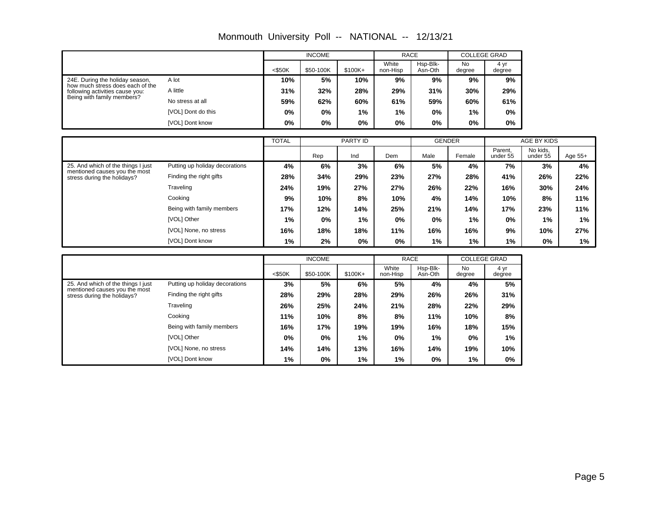|                                                                     |                    |           | <b>INCOME</b> |                   | <b>RACE</b>         |                     | <b>COLLEGE GRAD</b> |     |
|---------------------------------------------------------------------|--------------------|-----------|---------------|-------------------|---------------------|---------------------|---------------------|-----|
|                                                                     | $<$ \$50K          | \$50-100K | $$100K+$      | White<br>non-Hisp | Hsp-Blk-<br>Asn-Oth | <b>No</b><br>degree | 4 yr<br>degree      |     |
| 24E. During the holiday season,                                     | A lot              | 10%       | 5%            | 10%               | 9%                  | 9%                  | 9%                  | 9%  |
| how much stress does each of the<br>following activities cause you: | A little           | 31%       | 32%           | 28%               | 29%                 | 31%                 | 30%                 | 29% |
| Being with family members?                                          | No stress at all   | 59%       | 62%           | 60%               | 61%                 | 59%                 | 60%                 | 61% |
|                                                                     | [VOL] Dont do this | 0%        | $0\%$         | 1%                | $1\%$               | 0%                  | 1%                  | 0%  |
|                                                                     | [VOL] Dont know    | 0%        | 0%            | 0%                | 0%                  | 0%                  | 0%                  | 0%  |
|                                                                     |                    |           |               |                   |                     |                     |                     |     |

Monmouth University Poll -- NATIONAL -- 12/13/21

|                                                                                                    |                                | <b>TOTAL</b> | PARTY ID          |       |     | <b>GENDER</b> |        | AGE BY KIDS         |                      |         |
|----------------------------------------------------------------------------------------------------|--------------------------------|--------------|-------------------|-------|-----|---------------|--------|---------------------|----------------------|---------|
|                                                                                                    |                                |              | Rep<br>Ind<br>Dem |       |     | Male          | Female | Parent.<br>under 55 | No kids,<br>under 55 | Age 55+ |
| 25. And which of the things I just<br>mentioned causes you the most<br>stress during the holidays? | Putting up holiday decorations | 4%           | 6%                | 3%    | 6%  | 5%            | 4%     | 7%                  | 3%                   | 4%      |
|                                                                                                    | Finding the right gifts        | 28%          | 34%               | 29%   | 23% | 27%           | 28%    | 41%                 | 26%                  | 22%     |
|                                                                                                    | Traveling                      | 24%          | 19%               | 27%   | 27% | 26%           | 22%    | 16%                 | 30%                  | 24%     |
|                                                                                                    | Cooking                        | 9%           | 10%               | 8%    | 10% | 4%            | 14%    | 10%                 | 8%                   | 11%     |
|                                                                                                    | Being with family members      | 17%          | 12%               | 14%   | 25% | 21%           | 14%    | 17%                 | 23%                  | 11%     |
|                                                                                                    | [VOL] Other                    | $1\%$        | $0\%$             | 1%    | 0%  | $0\%$         | 1%     | $0\%$               | 1%                   | 1%      |
|                                                                                                    | [VOL] None, no stress          | 16%          | 18%               | 18%   | 11% | 16%           | 16%    | 9%                  | 10%                  | 27%     |
|                                                                                                    | [VOL] Dont know                | $1\%$        | 2%                | $0\%$ | 0%  | 1%            | 1%     | 1%                  | 0%                   | 1%      |

|                                                                                                    |                                | <b>INCOME</b> |           |           | <b>RACE</b>       |                     | <b>COLLEGE GRAD</b> |                |
|----------------------------------------------------------------------------------------------------|--------------------------------|---------------|-----------|-----------|-------------------|---------------------|---------------------|----------------|
|                                                                                                    |                                | $<$ \$50K     | \$50-100K | $$100K +$ | White<br>non-Hisp | Hsp-Blk-<br>Asn-Oth | <b>No</b><br>degree | 4 yr<br>degree |
| 25. And which of the things I just<br>mentioned causes you the most<br>stress during the holidays? | Putting up holiday decorations | 3%            | 5%        | 6%        | 5%                | 4%                  | 4%                  | 5%             |
|                                                                                                    | Finding the right gifts        | 28%           | 29%       | 28%       | 29%               | 26%                 | 26%                 | 31%            |
|                                                                                                    | Traveling                      | 26%           | 25%       | 24%       | 21%               | 28%                 | 22%                 | 29%            |
|                                                                                                    | Cooking                        | 11%           | 10%       | 8%        | 8%                | 11%                 | 10%                 | 8%             |
|                                                                                                    | Being with family members      | 16%           | 17%       | 19%       | 19%               | 16%                 | 18%                 | 15%            |
|                                                                                                    | [VOL] Other                    | $0\%$         | $0\%$     | 1%        | $0\%$             | $1\%$               | 0%                  | 1%             |
|                                                                                                    | [VOL] None, no stress          | 14%           | 14%       | 13%       | 16%               | 14%                 | 19%                 | 10%            |
|                                                                                                    | [VOL] Dont know                | 1%            | 0%        | 1%        | 1%                | 0%                  | 1%                  | $0\%$          |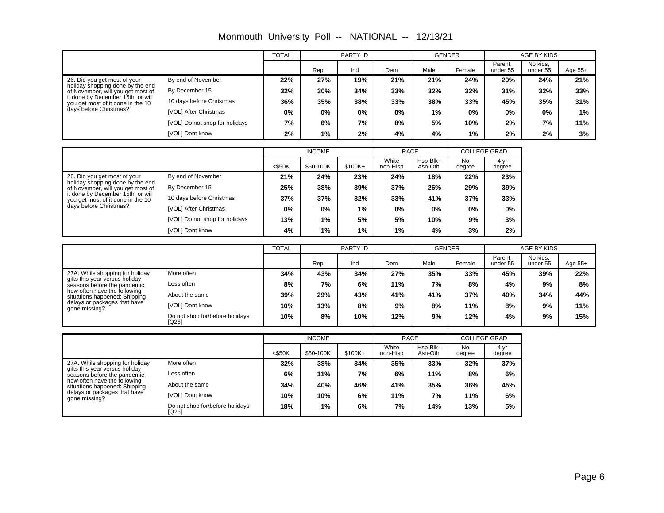|                                                                                                                                       |                                          | <b>TOTAL</b> |               | <b>PARTY ID</b> |                   | <b>GENDER</b>       |                     |                     | AGE BY KIDS          |           |
|---------------------------------------------------------------------------------------------------------------------------------------|------------------------------------------|--------------|---------------|-----------------|-------------------|---------------------|---------------------|---------------------|----------------------|-----------|
|                                                                                                                                       |                                          |              | Rep           | Ind             | Dem               | Male                | Female              | Parent,<br>under 55 | No kids,<br>under 55 | Age 55+   |
| 26. Did you get most of your                                                                                                          | By end of November                       | 22%          | 27%           | 19%             | 21%               | 21%                 | 24%                 | 20%                 | 24%                  | 21%       |
| holiday shopping done by the end<br>of November, will you get most of                                                                 | By December 15                           | 32%          | 30%           | 34%             | 33%               | 32%                 | 32%                 | 31%                 | 32%                  | 33%       |
| it done by December 15th, or will<br>you get most of it done in the 10                                                                | 10 days before Christmas                 | 36%          | 35%           | 38%             | 33%               | 38%                 | 33%                 | 45%                 | 35%                  | 31%       |
| days before Christmas?                                                                                                                | [VOL] After Christmas                    | 0%           | 0%            | 0%              | 0%                | 1%                  | 0%                  | 0%                  | 0%                   | 1%        |
|                                                                                                                                       | [VOL] Do not shop for holidays           | 7%           | 6%            | 7%              | 8%                | 5%                  | 10%                 | 2%                  | 7%                   | 11%       |
|                                                                                                                                       | [VOL] Dont know                          | 2%           | 1%            | 2%              | 4%                | 4%                  | 1%                  | 2%                  | 2%                   | 3%        |
|                                                                                                                                       |                                          |              | <b>INCOME</b> |                 |                   | <b>RACE</b>         | <b>COLLEGE GRAD</b> |                     |                      |           |
|                                                                                                                                       |                                          |              |               |                 | White             | Hsp-Blk-            | <b>No</b>           | 4 yr                |                      |           |
|                                                                                                                                       |                                          | <\$50K       | \$50-100K     | \$100K+         | non-Hisp          | Asn-Oth             | degree              | degree              |                      |           |
| 26. Did you get most of your<br>holiday shopping done by the end                                                                      | By end of November                       | 21%          | 24%           | 23%             | 24%               | 18%                 | 22%                 | 23%                 |                      |           |
| of November, will you get most of<br>it done by December 15th, or will<br>you get most of it done in the 10<br>days before Christmas? | By December 15                           | 25%          | 38%           | 39%             | 37%               | 26%                 | 29%                 | 39%                 |                      |           |
|                                                                                                                                       | 10 days before Christmas                 | 37%          | 37%           | 32%             | 33%               | 41%                 | 37%                 | 33%                 |                      |           |
|                                                                                                                                       | [VOL] After Christmas                    | 0%           | 0%            | 1%              | 0%                | 0%                  | 0%                  | 0%                  |                      |           |
|                                                                                                                                       | [VOL] Do not shop for holidays           | 13%          | 1%            | 5%              | 5%                | 10%                 | 9%                  | 3%                  |                      |           |
|                                                                                                                                       | [VOL] Dont know                          | 4%           | 1%            | 1%              | 1%                | 4%                  | 3%                  | 2%                  |                      |           |
|                                                                                                                                       |                                          | <b>TOTAL</b> | PARTY ID      |                 |                   | <b>GENDER</b>       |                     |                     | AGE BY KIDS          |           |
|                                                                                                                                       |                                          |              | Rep           | Ind             | Dem               | Male                | Female              | Parent,<br>under 55 | No kids,<br>under 55 | Age $55+$ |
| 27A. While shopping for holiday                                                                                                       | More often                               | 34%          | 43%           | 34%             | 27%               | 35%                 | 33%                 | 45%                 | 39%                  | 22%       |
| gifts this year versus holiday<br>seasons before the pandemic,                                                                        | Less often                               | 8%           | 7%            | 6%              | 11%               | 7%                  | 8%                  | 4%                  | 9%                   | 8%        |
| how often have the following<br>situations happened: Shipping                                                                         | About the same                           | 39%          | 29%           | 43%             | 41%               | 41%                 | 37%                 | 40%                 | 34%                  | 44%       |
| delays or packages that have<br>gone missing?                                                                                         | [VOL] Dont know                          | 10%          | 13%           | 8%              | 9%                | 8%                  | 11%                 | 8%                  | 9%                   | 11%       |
|                                                                                                                                       | Do not shop for\before holidays<br>[Q26] | 10%          | 8%            | 10%             | 12%               | 9%                  | 12%                 | 4%                  | 9%                   | 15%       |
|                                                                                                                                       |                                          |              | <b>INCOME</b> |                 |                   | <b>RACE</b>         |                     | <b>COLLEGE GRAD</b> |                      |           |
|                                                                                                                                       |                                          | $<$ \$50K    | \$50-100K     | $$100K+$        | White<br>non-Hisp | Hsp-Blk-<br>Asn-Oth | No<br>degree        | 4 yr<br>degree      |                      |           |
| 27A. While shopping for holiday                                                                                                       | More often                               | 32%          | 38%           | 34%             | 35%               | 33%                 | 32%                 | 37%                 |                      |           |
| gifts this year versus holiday<br>seasons before the pandemic,                                                                        | Less often                               | 6%           | 11%           | 7%              | 6%                | 11%                 | 8%                  | 6%                  |                      |           |
| how often have the following<br>situations happened: Shipping                                                                         | About the same                           | 34%          | 40%           | 46%             | 41%               | 35%                 | 36%                 | 45%                 |                      |           |
| delays or packages that have<br>gone missing?                                                                                         | [VOL] Dont know                          | 10%          | 10%           | 6%              | 11%               | 7%                  | 11%                 | 6%                  |                      |           |

**18% 1% 6% 7% 14% 13% 5% 10% 10% 6% 11% 7% 11% 6% 34% 40% 46% 41% 35% 36% 45%**

Do not shop for\before holidays [Q26]

Monmouth University Poll -- NATIONAL -- 12/13/21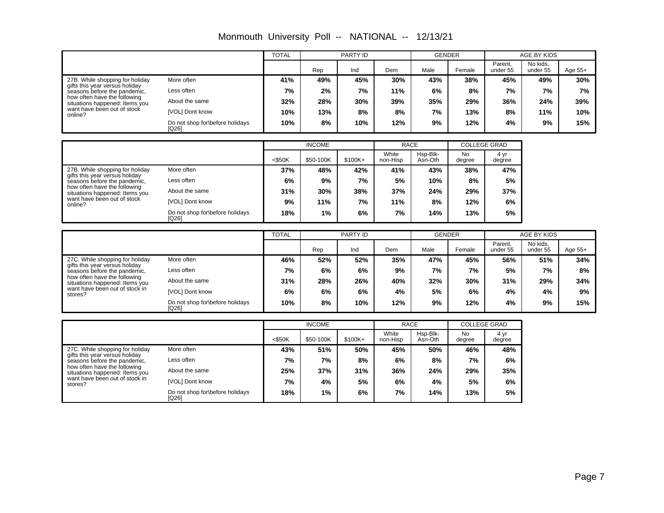|                                                                                                                                  |                                          | <b>TOTAL</b> |               | <b>PARTY ID</b>                                                                                                                                                                                                                                                                                                                                                                                         |                   | <b>GENDER</b>       |                     |                           | AGE BY KIDS          |         |
|----------------------------------------------------------------------------------------------------------------------------------|------------------------------------------|--------------|---------------|---------------------------------------------------------------------------------------------------------------------------------------------------------------------------------------------------------------------------------------------------------------------------------------------------------------------------------------------------------------------------------------------------------|-------------------|---------------------|---------------------|---------------------------|----------------------|---------|
|                                                                                                                                  |                                          |              | Rep           | Ind                                                                                                                                                                                                                                                                                                                                                                                                     | Dem               | Male                | Female              | Parent,<br>under 55       | No kids.<br>under 55 | Age 55+ |
| 27B. While shopping for holiday                                                                                                  | More often                               | 41%          | 49%           | 45%                                                                                                                                                                                                                                                                                                                                                                                                     | 30%               | 43%                 | 38%                 | 45%                       | 49%                  | 30%     |
| gifts this year versus holiday<br>seasons before the pandemic,<br>how often have the following<br>situations happened: Items you | Less often                               | 7%           | 2%            | 7%                                                                                                                                                                                                                                                                                                                                                                                                      | 11%               | 6%                  | 8%                  | 7%                        | 7%                   | 7%      |
|                                                                                                                                  | About the same                           | 32%          | 28%           | 30%                                                                                                                                                                                                                                                                                                                                                                                                     | 39%               | 35%                 | 29%                 | 36%                       | 24%                  | 39%     |
| want have been out of stock<br>online?                                                                                           | [VOL] Dont know                          | 10%          | 13%           | 8%                                                                                                                                                                                                                                                                                                                                                                                                      | 8%                | 7%                  | 13%                 | 8%                        | 11%                  | 10%     |
|                                                                                                                                  | Do not shop for before holidays<br>[Q26] | 10%          | 8%            | 10%                                                                                                                                                                                                                                                                                                                                                                                                     | 12%               | 9%                  | 12%                 | 4%                        | 9%                   | 15%     |
|                                                                                                                                  |                                          |              | <b>INCOME</b> |                                                                                                                                                                                                                                                                                                                                                                                                         |                   |                     |                     |                           |                      |         |
|                                                                                                                                  |                                          | $<$ \$50K    | \$50-100K     | $$100K+$                                                                                                                                                                                                                                                                                                                                                                                                | White<br>non-Hisp | Hsp-Blk-<br>Asn-Oth | <b>No</b><br>degree | 4 <sub>vr</sub><br>degree |                      |         |
| 27B. While shopping for holiday                                                                                                  | More often                               | 37%          | 48%           | 42%                                                                                                                                                                                                                                                                                                                                                                                                     | 41%               | 43%                 | 38%                 | 47%                       |                      |         |
| gifts this year versus holiday<br>seasons before the pandemic.                                                                   | Less often                               | 6%           | 9%            | 7%                                                                                                                                                                                                                                                                                                                                                                                                      | 5%                | 10%                 | 8%                  | 5%                        |                      |         |
| situations happened: Items you                                                                                                   | About the same                           | 31%          | 30%           | 38%                                                                                                                                                                                                                                                                                                                                                                                                     | 37%               | 24%                 | 29%                 | 37%                       |                      |         |
| how often have the following<br>want have been out of stock<br>online?                                                           | [VOL] Dont know                          | 9%           | 11%           | 7%                                                                                                                                                                                                                                                                                                                                                                                                      | 11%               | 8%                  | 12%                 | 6%                        |                      |         |
|                                                                                                                                  | Do not shop for before holidays<br>[Q26] | 18%          | 1%            | <b>RACE</b><br><b>COLLEGE GRAD</b><br>6%<br>7%<br>14%<br>5%<br>13%<br>PARTY ID<br><b>AGE BY KIDS</b><br><b>GENDER</b><br>Parent,<br>No kids,<br>Ind<br>Dem<br>Male<br>under 55<br>under 55<br>Female<br>52%<br>35%<br>47%<br>45%<br>56%<br>51%<br>5%<br>6%<br>9%<br>7%<br>7%<br>7%<br>26%<br>40%<br>32%<br>30%<br>31%<br>29%<br>6%<br>4%<br>5%<br>6%<br>4%<br>4%<br>9%<br>9%<br>10%<br>12%<br>12%<br>4% |                   |                     |                     |                           |                      |         |
|                                                                                                                                  |                                          | <b>TOTAL</b> |               |                                                                                                                                                                                                                                                                                                                                                                                                         |                   |                     |                     |                           |                      |         |
|                                                                                                                                  |                                          |              |               |                                                                                                                                                                                                                                                                                                                                                                                                         |                   |                     |                     |                           |                      |         |
|                                                                                                                                  |                                          |              | Rep           |                                                                                                                                                                                                                                                                                                                                                                                                         |                   |                     |                     |                           |                      | Age 55+ |
| 27C. While shopping for holiday<br>gifts this year versus holiday                                                                | More often                               | 46%          | 52%           |                                                                                                                                                                                                                                                                                                                                                                                                         |                   |                     |                     |                           |                      | 34%     |
| seasons before the pandemic.                                                                                                     | Less often                               | 7%           | 6%            |                                                                                                                                                                                                                                                                                                                                                                                                         |                   |                     |                     |                           |                      | 8%      |
| how often have the following<br>situations happened: Items you                                                                   | About the same                           | 31%          | 28%           |                                                                                                                                                                                                                                                                                                                                                                                                         |                   |                     |                     |                           |                      | 34%     |
| want have been out of stock in<br>stores?                                                                                        | [VOL] Dont know                          | 6%           | 6%            |                                                                                                                                                                                                                                                                                                                                                                                                         |                   |                     |                     |                           |                      | 9%      |
|                                                                                                                                  | Do not shop for before holidays<br>[Q26] | 10%          | 8%            |                                                                                                                                                                                                                                                                                                                                                                                                         |                   |                     |                     |                           |                      | 15%     |
|                                                                                                                                  |                                          |              |               |                                                                                                                                                                                                                                                                                                                                                                                                         |                   |                     |                     |                           |                      |         |

# Monmouth University Poll -- NATIONAL -- 12/13/21

|                                                                                                   |                                          | <b>INCOME</b> |           |           | <b>RACE</b>       |                     | <b>COLLEGE GRAD</b> |                |
|---------------------------------------------------------------------------------------------------|------------------------------------------|---------------|-----------|-----------|-------------------|---------------------|---------------------|----------------|
|                                                                                                   |                                          | $<$ \$50K     | \$50-100K | $$100K +$ | White<br>non-Hisp | Hsp-Blk-<br>Asn-Oth | No<br>degree        | 4 yr<br>degree |
| 27C. While shopping for holiday<br>gifts this year versus holiday<br>seasons before the pandemic. | More often                               | 43%           | 51%       | 50%       | 45%               | 50%                 | 46%                 | 48%            |
|                                                                                                   | Less often                               | 7%            | 7%        | 8%        | 6%                | 8%                  | 7%                  | 6%             |
| how often have the following<br>situations happened: Items you                                    | About the same                           | 25%           | 37%       | 31%       | 36%               | 24%                 | 29%                 | 35%            |
| want have been out of stock in<br>stores?                                                         | [VOL] Dont know                          | 7%            | 4%        | 5%        | 6%                | 4%                  | 5%                  | 6%             |
|                                                                                                   | Do not shop for before holidays<br>[Q26] | 18%           | $1\%$     | 6%        | 7%                | 14%                 | 13%                 | 5%             |